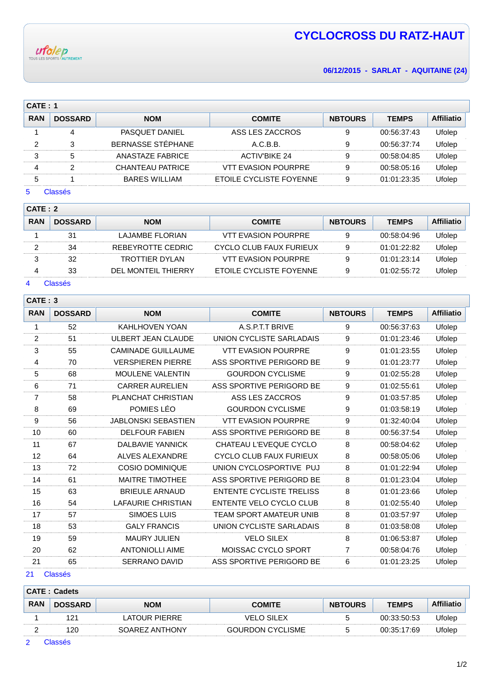

# **CYCLOCROSS DU RATZ-HAUT**

**06/12/2015 - SARLAT - AQUITAINE (24)**

|            | CATE: 1        |                       |                            |                |              |                   |  |  |  |
|------------|----------------|-----------------------|----------------------------|----------------|--------------|-------------------|--|--|--|
| <b>RAN</b> | <b>DOSSARD</b> | <b>NOM</b>            | <b>COMITE</b>              | <b>NBTOURS</b> | <b>TEMPS</b> | <b>Affiliatio</b> |  |  |  |
|            | 4              | <b>PASQUET DANIEL</b> | ASS LES ZACCROS            | 9              | 00:56:37:43  | Ufolep            |  |  |  |
| 2          | 3              | BERNASSE STÉPHANE     | A.C.B.B.                   | 9              | 00:56:37:74  | Ufolep            |  |  |  |
| 3          | 5              | ANASTAZE FABRICE      | <b>ACTIV'BIKE 24</b>       | 9              | 00:58:04:85  | Ufolep            |  |  |  |
| 4          | 2              | CHANTEAU PATRICE      | <b>VTT EVASION POURPRE</b> | 9              | 00:58:05:16  | Ufolep            |  |  |  |
| 5          |                | <b>BARES WILLIAM</b>  | ETOILE CYCLISTE FOYENNE    | 9              | 01:01:23:35  | Ufolep            |  |  |  |
| 5          | Classés        |                       |                            |                |              |                   |  |  |  |

## **CATE : 2**

| <b>RAN</b> | <b>DOSSARD</b> | <b>NOM</b>          | <b>COMITE</b>              | <b>NBTOURS</b> | <b>TEMPS</b> | <b>Affiliatio</b> |  |  |
|------------|----------------|---------------------|----------------------------|----------------|--------------|-------------------|--|--|
|            | 31             | LAJAMBE FLORIAN     | <b>VTT EVASION POURPRE</b> | 9              | 00:58:04:96  | Ufolep            |  |  |
|            | 34             | REBEYROTTE CEDRIC   | CYCLO CLUB FAUX FURIEUX    | 9              | 01:01:22:82  | Ufolep            |  |  |
|            | 32             | TROTTIER DYLAN      | VTT EVASION POURPRE        |                | 01:01:23:14  | Ufolep            |  |  |
|            | 33             | DEL MONTEIL THIERRY | ETOILE CYCLISTE FOYENNE    | 9              | 01:02:55:72  | Ufolep            |  |  |
|            |                |                     |                            |                |              |                   |  |  |

## Classés

| CATE: 3        |                |                            |                                 |                |              |                   |
|----------------|----------------|----------------------------|---------------------------------|----------------|--------------|-------------------|
| <b>RAN</b>     | <b>DOSSARD</b> | <b>NOM</b>                 | <b>COMITE</b>                   | <b>NBTOURS</b> | <b>TEMPS</b> | <b>Affiliatio</b> |
| 1              | 52             | <b>KAHLHOVEN YOAN</b>      | A.S.P.T.T BRIVE                 | 9              | 00:56:37:63  | Ufolep            |
| 2              | 51             | <b>ULBERT JEAN CLAUDE</b>  | UNION CYCLISTE SARLADAIS        | 9              | 01:01:23:46  | Ufolep            |
| $\sqrt{3}$     | 55             | <b>CAMINADE GUILLAUME</b>  | <b>VTT EVASION POURPRE</b>      | 9              | 01:01:23:55  | Ufolep            |
| 4              | 70             | <b>VERSPIEREN PIERRE</b>   | ASS SPORTIVE PERIGORD BE        | 9              | 01:01:23:77  | Ufolep            |
| 5              | 68             | <b>MOULENE VALENTIN</b>    | <b>GOURDON CYCLISME</b>         | 9              | 01:02:55:28  | Ufolep            |
| 6              | 71             | <b>CARRER AURELIEN</b>     | ASS SPORTIVE PERIGORD BE        | 9              | 01:02:55:61  | Ufolep            |
| $\overline{7}$ | 58             | PLANCHAT CHRISTIAN         | ASS LES ZACCROS                 | 9              | 01:03:57:85  | Ufolep            |
| 8              | 69             | POMIES LÉO                 | <b>GOURDON CYCLISME</b>         | 9              | 01:03:58:19  | Ufolep            |
| 9              | 56             | <b>JABLONSKI SEBASTIEN</b> | <b>VTT EVASION POURPRE</b>      | 9              | 01:32:40:04  | Ufolep            |
| 10             | 60             | <b>DELFOUR FABIEN</b>      | ASS SPORTIVE PERIGORD BE        | 8              | 00:56:37:54  | Ufolep            |
| 11             | 67             | <b>DALBAVIE YANNICK</b>    | CHATEAU L'EVEQUE CYCLO          | 8              | 00:58:04:62  | Ufolep            |
| 12             | 64             | <b>ALVES ALEXANDRE</b>     | <b>CYCLO CLUB FAUX FURIEUX</b>  | 8              | 00:58:05:06  | Ufolep            |
| 13             | 72             | <b>COSIO DOMINIQUE</b>     | UNION CYCLOSPORTIVE PUJ         | 8              | 01:01:22:94  | Ufolep            |
| 14             | 61             | <b>MAITRE TIMOTHEE</b>     | ASS SPORTIVE PERIGORD BE        | 8              | 01:01:23:04  | Ufolep            |
| 15             | 63             | <b>BRIEULE ARNAUD</b>      | <b>ENTENTE CYCLISTE TRELISS</b> | 8              | 01:01:23:66  | Ufolep            |
| 16             | 54             | <b>LAFAURIE CHRISTIAN</b>  | <b>ENTENTE VELO CYCLO CLUB</b>  | 8              | 01:02:55:40  | Ufolep            |
| 17             | 57             | <b>SIMOES LUIS</b>         | <b>TEAM SPORT AMATEUR UNIB</b>  | 8              | 01:03:57:97  | Ufolep            |
| 18             | 53             | <b>GALY FRANCIS</b>        | UNION CYCLISTE SARLADAIS        | 8              | 01:03:58:08  | Ufolep            |
| 19             | 59             | <b>MAURY JULIEN</b>        | <b>VELO SILEX</b>               | 8              | 01:06:53:87  | Ufolep            |
| 20             | 62             | <b>ANTONIOLLI AIME</b>     | MOISSAC CYCLO SPORT             | $\overline{7}$ | 00:58:04:76  | Ufolep            |
| 21             | 65             | <b>SERRANO DAVID</b>       | ASS SPORTIVE PERIGORD BE        | 6              | 01:01:23:25  | Ufolep            |

#### Classés

| <b>CATE: Cadets</b> |                |                |                  |                |              |                   |  |  |
|---------------------|----------------|----------------|------------------|----------------|--------------|-------------------|--|--|
| <b>RAN</b>          | <b>DOSSARD</b> | <b>NOM</b>     | <b>COMITE</b>    | <b>NBTOURS</b> | <b>TEMPS</b> | <b>Affiliatic</b> |  |  |
|                     | $2^{\cdot}$    | ATOUR PIFRRE   | /FI O SII FX     | 5              | 00.33.50.53  | Ufolep            |  |  |
|                     | 120            | SOAREZ ANTHONY | GOURDON CYCLISME | ∽              | 00:35:17:69  | Ufolep            |  |  |

Classés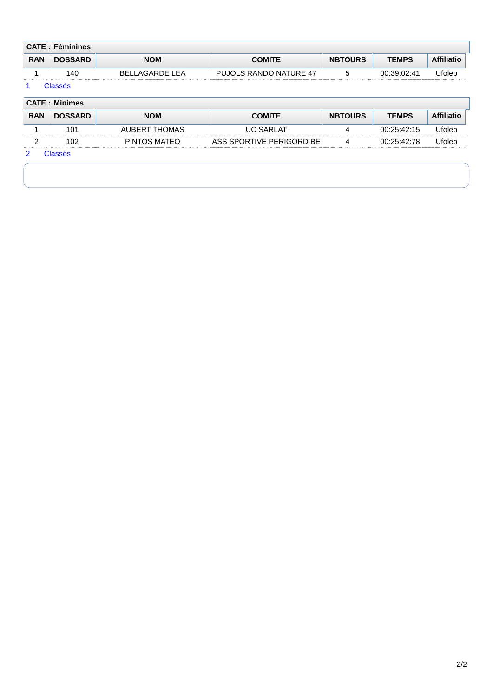| <b>CATE: Féminines</b> |                |                |                        |                |              |                   |  |  |
|------------------------|----------------|----------------|------------------------|----------------|--------------|-------------------|--|--|
| <b>RAN</b>             | <b>DOSSARD</b> | <b>NOM</b>     | <b>COMITE</b>          | <b>NBTOURS</b> | <b>TEMPS</b> | <b>Affiliatic</b> |  |  |
|                        | 140            | BELLAGARDE LEA | PUJOLS RANDO NATURE 47 |                | 00:39:02:41  | Ufolep            |  |  |

### 1 Classés

| <b>CATE: Minimes</b> |                |               |                          |                |              |                   |  |  |
|----------------------|----------------|---------------|--------------------------|----------------|--------------|-------------------|--|--|
| <b>RAN</b>           | <b>DOSSARD</b> | <b>NOM</b>    | <b>COMITE</b>            | <b>NBTOURS</b> | <b>TEMPS</b> | <b>Affiliatio</b> |  |  |
|                      | 101            | AUBERT THOMAS | <b>UC SARLAT</b>         | 4              | 00:25:42:15  | Ufolep            |  |  |
|                      | 102            | PINTOS MATEO  | ASS SPORTIVE PERIGORD BE |                | 00:25:42:78  | Ufolep            |  |  |
| ာ                    | Classés        |               |                          |                |              |                   |  |  |
|                      |                |               |                          |                |              |                   |  |  |